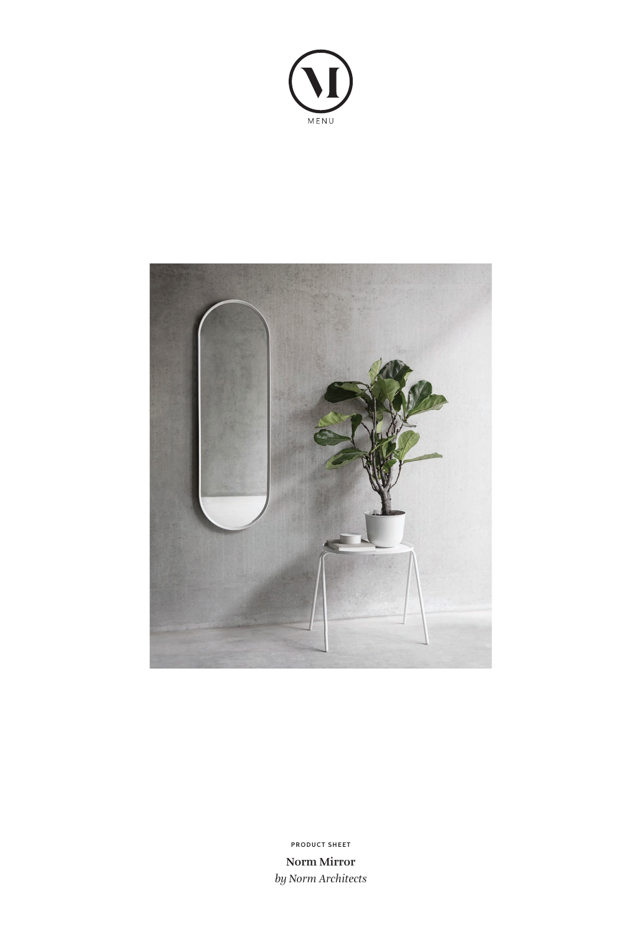



**Norm Mirror** *by Norm Architects* **PRODUCT SHEET**